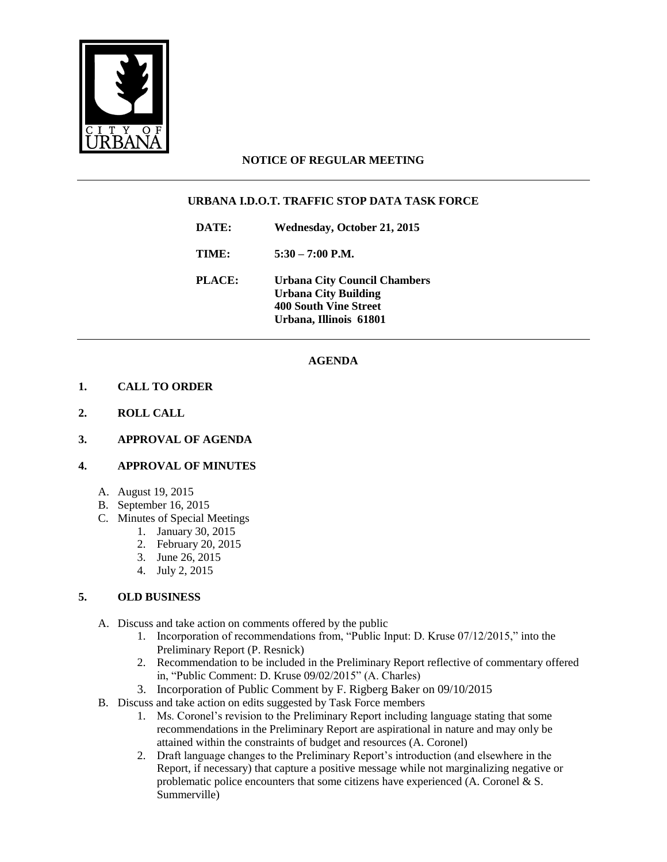

### **NOTICE OF REGULAR MEETING**

### **URBANA I.D.O.T. TRAFFIC STOP DATA TASK FORCE**

**DATE: Wednesday, October 21, 2015**

**TIME: 5:30 – 7:00 P.M.**

**PLACE: Urbana City Council Chambers Urbana City Building 400 South Vine Street Urbana, Illinois 61801**

## **AGENDA**

#### **1. CALL TO ORDER**

- **2. ROLL CALL**
- **3. APPROVAL OF AGENDA**

#### **4. APPROVAL OF MINUTES**

- A. August 19, 2015
- B. September 16, 2015
- C. Minutes of Special Meetings
	- 1. January 30, 2015
		- 2. February 20, 2015
		- 3. June 26, 2015
		- 4. July 2, 2015

#### **5. OLD BUSINESS**

- A. Discuss and take action on comments offered by the public
	- 1. Incorporation of recommendations from, "Public Input: D. Kruse 07/12/2015," into the Preliminary Report (P. Resnick)
	- 2. Recommendation to be included in the Preliminary Report reflective of commentary offered in, "Public Comment: D. Kruse 09/02/2015" (A. Charles)
	- 3. Incorporation of Public Comment by F. Rigberg Baker on 09/10/2015
- B. Discuss and take action on edits suggested by Task Force members
	- 1. Ms. Coronel's revision to the Preliminary Report including language stating that some recommendations in the Preliminary Report are aspirational in nature and may only be attained within the constraints of budget and resources (A. Coronel)
	- 2. Draft language changes to the Preliminary Report's introduction (and elsewhere in the Report, if necessary) that capture a positive message while not marginalizing negative or problematic police encounters that some citizens have experienced (A. Coronel & S. Summerville)